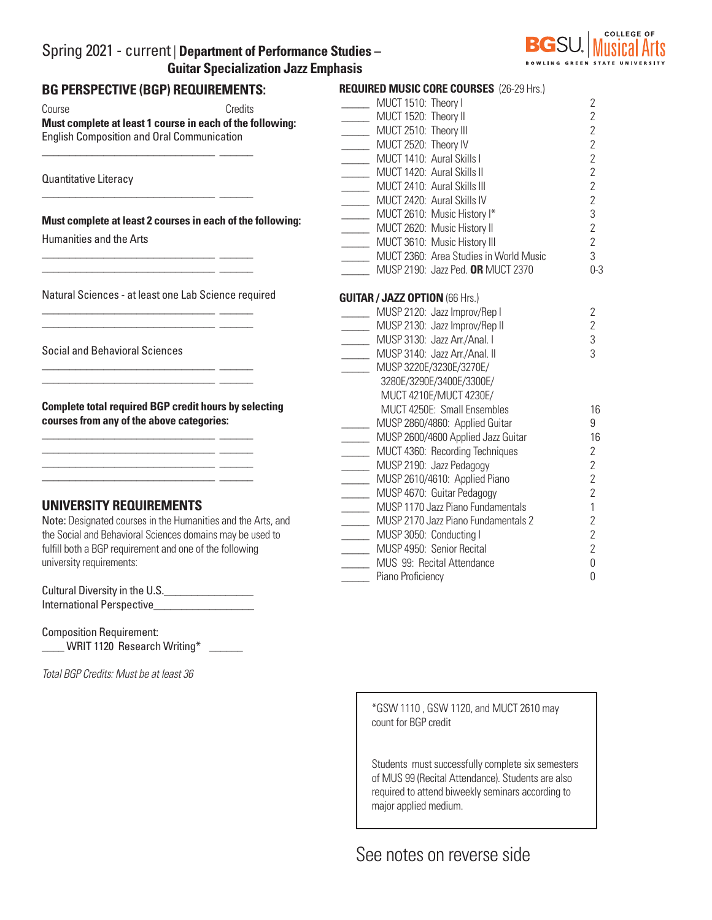## Spring 2021 - current | **Department of Performance Studies – Guitar Specialization Jazz Emphasis**



| <b>BG PERSPECTIVE (BGP) REQUIREMENTS:</b>                                                                      | <b>REQUIRED MUSIC CORE COURSES</b> (26-29 Hrs.)           |                |
|----------------------------------------------------------------------------------------------------------------|-----------------------------------------------------------|----------------|
|                                                                                                                | MUCT 1510: Theory I                                       | 2              |
| Credits<br>Course                                                                                              | MUCT 1520: Theory II                                      | $\overline{2}$ |
| Must complete at least 1 course in each of the following:<br><b>English Composition and Oral Communication</b> | MUCT 2510: Theory III                                     | $\overline{2}$ |
|                                                                                                                | MUCT 2520: Theory IV                                      | $\overline{2}$ |
|                                                                                                                | MUCT 1410: Aural Skills I                                 | $\overline{2}$ |
| Quantitative Literacy<br>Must complete at least 2 courses in each of the following:                            | MUCT 1420: Aural Skills II                                | $\overline{2}$ |
|                                                                                                                | MUCT 2410: Aural Skills III                               | $\overline{2}$ |
|                                                                                                                | MUCT 2420: Aural Skills IV                                | $\overline{2}$ |
|                                                                                                                | MUCT 2610: Music History I*                               | 3              |
|                                                                                                                | MUCT 2620: Music History II<br>$\mathcal{L}^{\text{max}}$ | $\overline{2}$ |
| <b>Humanities and the Arts</b>                                                                                 | MUCT 3610: Music History III                              | $\overline{2}$ |
|                                                                                                                | MUCT 2360: Area Studies in World Music                    | 3              |
|                                                                                                                | MUSP 2190: Jazz Ped. OR MUCT 2370                         | $0 - 3$        |
| Natural Sciences - at least one Lab Science required                                                           | <b>GUITAR / JAZZ OPTION (66 Hrs.)</b>                     |                |
|                                                                                                                | MUSP 2120: Jazz Improv/Rep I                              | $\overline{2}$ |
|                                                                                                                | MUSP 2130: Jazz Improv/Rep II<br>$\sim$                   | $\mathbf{2}$   |
|                                                                                                                | MUSP 3130: Jazz Arr./Anal. I                              | 3              |
| <b>Social and Behavioral Sciences</b>                                                                          | MUSP 3140: Jazz Arr./Anal. II<br>$\overline{\phantom{a}}$ | 3              |
|                                                                                                                | MUSP 3220E/3230E/3270E/                                   |                |
|                                                                                                                | 3280E/3290E/3400E/3300E/                                  |                |
|                                                                                                                | MUCT 4210E/MUCT 4230E/                                    |                |
| <b>Complete total required BGP credit hours by selecting</b>                                                   | MUCT 4250E: Small Ensembles                               | 16             |
| courses from any of the above categories:                                                                      | MUSP 2860/4860: Applied Guitar                            | 9              |
|                                                                                                                | MUSP 2600/4600 Applied Jazz Guitar                        | 16             |
|                                                                                                                | MUCT 4360: Recording Techniques                           | $\overline{2}$ |
|                                                                                                                | MUSP 2190: Jazz Pedagogy<br>$\mathcal{L}^{\text{max}}$    | $\overline{2}$ |
|                                                                                                                | MUSP 2610/4610: Applied Piano<br>$\mathcal{L}$            | $\overline{2}$ |
|                                                                                                                | MUSP 4670: Guitar Pedagogy                                | $\overline{2}$ |
| UNIVERSITY REQUIREMENTS                                                                                        | MUSP 1170 Jazz Piano Fundamentals                         | 1              |
| Note: Designated courses in the Humanities and the Arts, and                                                   | MUSP 2170 Jazz Piano Fundamentals 2                       | 2              |
| the Social and Behavioral Sciences domains may be used to                                                      | MUSP 3050: Conducting I                                   | $\overline{2}$ |
| fulfill both a BGP requirement and one of the following                                                        | MUSP 4950: Senior Recital                                 | $\overline{2}$ |
| university requirements:                                                                                       | MUS 99: Recital Attendance                                | $\mathbf 0$    |
|                                                                                                                | Piano Proficiency                                         | 0              |

Cultural Diversity in the U.S. International Perspective\_\_\_\_\_\_\_\_\_\_\_\_\_\_\_\_\_\_

Composition Requirement: \_\_\_\_ WRIT 1120 Research Writing\* \_\_\_\_\_\_

*Total BGP Credits: Must be at least 36*

\*GSW 1110 , GSW 1120, and MUCT 2610 may count for BGP credit

Students must successfully complete six semesters of MUS 99 (Recital Attendance). Students are also required to attend biweekly seminars according to major applied medium.

# See notes on reverse side